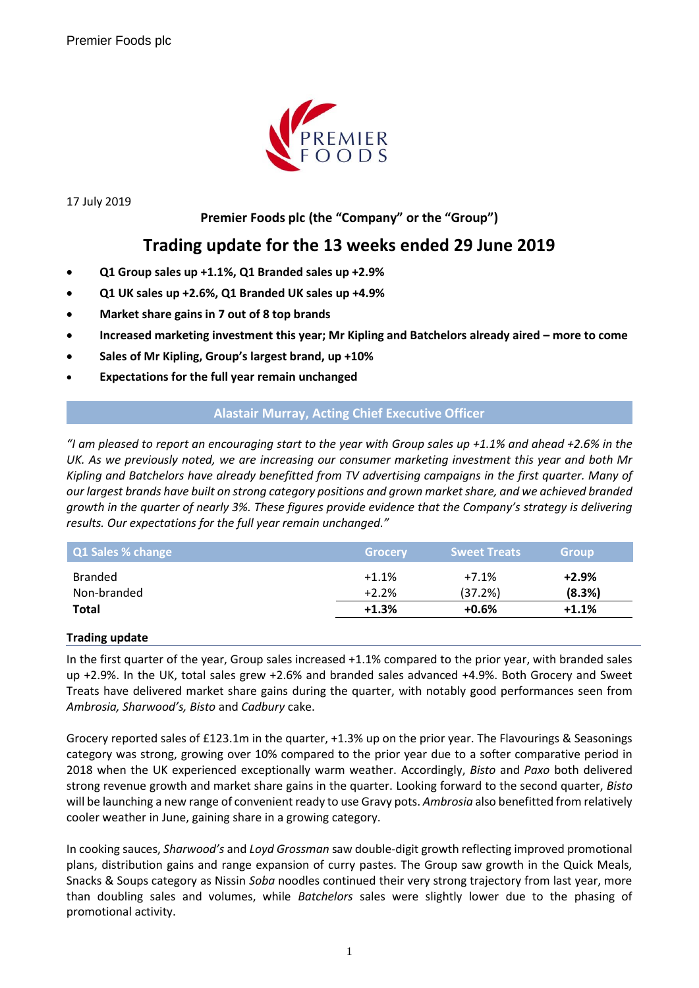

17 July 2019

## **Premier Foods plc (the "Company" or the "Group")**

# **Trading update for the 13 weeks ended 29 June 2019**

- **Q1 Group sales up +1.1%, Q1 Branded sales up +2.9%**
- **Q1 UK sales up +2.6%, Q1 Branded UK sales up +4.9%**
- **Market share gains in 7 out of 8 top brands**
- **Increased marketing investment this year; Mr Kipling and Batchelors already aired – more to come**
- **Sales of Mr Kipling, Group's largest brand, up +10%**
- **Expectations for the full year remain unchanged**

## **Alastair Murray, Acting Chief Executive Officer**

*"I am pleased to report an encouraging start to the year with Group sales up +1.1% and ahead +2.6% in the UK. As we previously noted, we are increasing our consumer marketing investment this year and both Mr Kipling and Batchelors have already benefitted from TV advertising campaigns in the first quarter. Many of our largest brands have built on strong category positions and grown market share, and we achieved branded growth in the quarter of nearly 3%. These figures provide evidence that the Company's strategy is delivering results. Our expectations for the full year remain unchanged."*

| Q1 Sales % change | <b>Grocery</b> | <b>Sweet Treats</b> | <b>Group</b> |
|-------------------|----------------|---------------------|--------------|
| <b>Branded</b>    | $+1.1%$        | $+7.1%$             | $+2.9%$      |
| Non-branded       | $+2.2%$        | (37.2%)             | (8.3%)       |
| <b>Total</b>      | $+1.3%$        | $+0.6%$             | $+1.1%$      |

#### **Trading update**

In the first quarter of the year, Group sales increased +1.1% compared to the prior year, with branded sales up +2.9%. In the UK, total sales grew +2.6% and branded sales advanced +4.9%. Both Grocery and Sweet Treats have delivered market share gains during the quarter, with notably good performances seen from *Ambrosia, Sharwood's, Bisto* and *Cadbury* cake.

Grocery reported sales of £123.1m in the quarter, +1.3% up on the prior year. The Flavourings & Seasonings category was strong, growing over 10% compared to the prior year due to a softer comparative period in 2018 when the UK experienced exceptionally warm weather. Accordingly, *Bisto* and *Paxo* both delivered strong revenue growth and market share gains in the quarter. Looking forward to the second quarter, *Bisto* will be launching a new range of convenient ready to use Gravy pots. *Ambrosia* also benefitted from relatively cooler weather in June, gaining share in a growing category.

In cooking sauces, *Sharwood's* and *Loyd Grossman* saw double-digit growth reflecting improved promotional plans, distribution gains and range expansion of curry pastes. The Group saw growth in the Quick Meals, Snacks & Soups category as Nissin *Soba* noodles continued their very strong trajectory from last year, more than doubling sales and volumes, while *Batchelors* sales were slightly lower due to the phasing of promotional activity.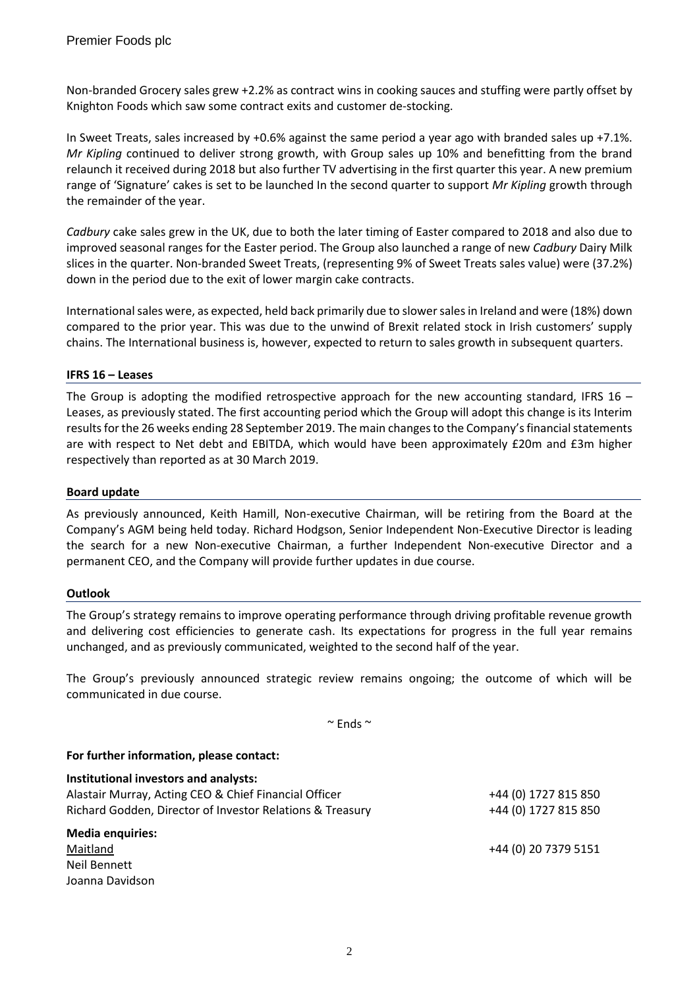Non-branded Grocery sales grew +2.2% as contract wins in cooking sauces and stuffing were partly offset by Knighton Foods which saw some contract exits and customer de-stocking.

In Sweet Treats, sales increased by +0.6% against the same period a year ago with branded sales up +7.1%. *Mr Kipling* continued to deliver strong growth, with Group sales up 10% and benefitting from the brand relaunch it received during 2018 but also further TV advertising in the first quarter this year. A new premium range of 'Signature' cakes is set to be launched In the second quarter to support *Mr Kipling* growth through the remainder of the year.

*Cadbury* cake sales grew in the UK, due to both the later timing of Easter compared to 2018 and also due to improved seasonal ranges for the Easter period. The Group also launched a range of new *Cadbury* Dairy Milk slices in the quarter. Non-branded Sweet Treats, (representing 9% of Sweet Treats sales value) were (37.2%) down in the period due to the exit of lower margin cake contracts.

International sales were, as expected, held back primarily due to slower sales in Ireland and were (18%) down compared to the prior year. This was due to the unwind of Brexit related stock in Irish customers' supply chains. The International business is, however, expected to return to sales growth in subsequent quarters.

## **IFRS 16 – Leases**

The Group is adopting the modified retrospective approach for the new accounting standard, IFRS 16 – Leases, as previously stated. The first accounting period which the Group will adopt this change is its Interim results for the 26 weeks ending 28 September 2019. The main changes to the Company's financial statements are with respect to Net debt and EBITDA, which would have been approximately £20m and £3m higher respectively than reported as at 30 March 2019.

#### **Board update**

As previously announced, Keith Hamill, Non-executive Chairman, will be retiring from the Board at the Company's AGM being held today. Richard Hodgson, Senior Independent Non-Executive Director is leading the search for a new Non-executive Chairman, a further Independent Non-executive Director and a permanent CEO, and the Company will provide further updates in due course.

#### **Outlook**

The Group's strategy remains to improve operating performance through driving profitable revenue growth and delivering cost efficiencies to generate cash. Its expectations for progress in the full year remains unchanged, and as previously communicated, weighted to the second half of the year.

The Group's previously announced strategic review remains ongoing; the outcome of which will be communicated in due course.

 $\sim$  Ends  $\sim$ 

## **For further information, please contact:**

| Institutional investors and analysts:                     |                      |
|-----------------------------------------------------------|----------------------|
| Alastair Murray, Acting CEO & Chief Financial Officer     | +44 (0) 1727 815 850 |
| Richard Godden, Director of Investor Relations & Treasury | +44 (0) 1727 815 850 |
| <b>Media enquiries:</b>                                   |                      |
| Maitland                                                  | +44 (0) 20 7379 5151 |
| Neil Bennett                                              |                      |
| Joanna Davidson                                           |                      |